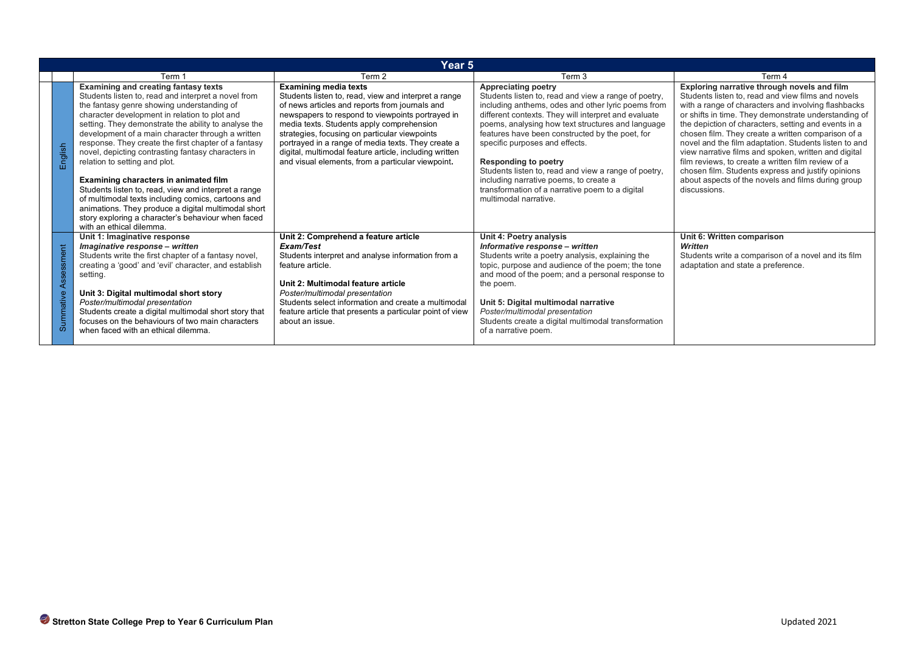|                                                                                                                                                                                                                                                                                                                                                                                                                                                                                                                                                                                                                                                                                                                                                                                                                                                                                                                                                                                                                                                                                                                                                                                                                                           | Year 5                                                                                                                                                                                                                                                                                                                                                                                                                      |                                                                                                                                                                                                                                                                                                                                                                                                                                                                                                                                                         |                                                                                                                                                                                                                                                                                                                                                                                                                                                                                                                                                                                                                                   |                                                                                                                                           |  |  |  |
|-------------------------------------------------------------------------------------------------------------------------------------------------------------------------------------------------------------------------------------------------------------------------------------------------------------------------------------------------------------------------------------------------------------------------------------------------------------------------------------------------------------------------------------------------------------------------------------------------------------------------------------------------------------------------------------------------------------------------------------------------------------------------------------------------------------------------------------------------------------------------------------------------------------------------------------------------------------------------------------------------------------------------------------------------------------------------------------------------------------------------------------------------------------------------------------------------------------------------------------------|-----------------------------------------------------------------------------------------------------------------------------------------------------------------------------------------------------------------------------------------------------------------------------------------------------------------------------------------------------------------------------------------------------------------------------|---------------------------------------------------------------------------------------------------------------------------------------------------------------------------------------------------------------------------------------------------------------------------------------------------------------------------------------------------------------------------------------------------------------------------------------------------------------------------------------------------------------------------------------------------------|-----------------------------------------------------------------------------------------------------------------------------------------------------------------------------------------------------------------------------------------------------------------------------------------------------------------------------------------------------------------------------------------------------------------------------------------------------------------------------------------------------------------------------------------------------------------------------------------------------------------------------------|-------------------------------------------------------------------------------------------------------------------------------------------|--|--|--|
|                                                                                                                                                                                                                                                                                                                                                                                                                                                                                                                                                                                                                                                                                                                                                                                                                                                                                                                                                                                                                                                                                                                                                                                                                                           | Term 1                                                                                                                                                                                                                                                                                                                                                                                                                      | Term 2                                                                                                                                                                                                                                                                                                                                                                                                                                                                                                                                                  | Term 3                                                                                                                                                                                                                                                                                                                                                                                                                                                                                                                                                                                                                            | Term 4                                                                                                                                    |  |  |  |
| <b>Examining and creating fantasy texts</b><br><b>Examining media texts</b><br>Students listen to, read, view and interpret a range<br>Students listen to, read and interpret a novel from<br>the fantasy genre showing understanding of<br>of news articles and reports from journals and<br>character development in relation to plot and<br>newspapers to respond to viewpoints portrayed in<br>setting. They demonstrate the ability to analyse the<br>media texts. Students apply comprehension<br>development of a main character through a written<br>strategies, focusing on particular viewpoints<br>response. They create the first chapter of a fantasy<br>portrayed in a range of media texts. They create a<br>English<br>digital, multimodal feature article, including written<br>novel, depicting contrasting fantasy characters in<br>and visual elements, from a particular viewpoint.<br>relation to setting and plot.<br>Examining characters in animated film<br>Students listen to, read, view and interpret a range<br>of multimodal texts including comics, cartoons and<br>animations. They produce a digital multimodal short<br>story exploring a character's behaviour when faced<br>with an ethical dilemma. |                                                                                                                                                                                                                                                                                                                                                                                                                             | <b>Appreciating poetry</b><br>Students listen to, read and view a range of poetry,<br>including anthems, odes and other lyric poems from<br>different contexts. They will interpret and evaluate<br>poems, analysing how text structures and language<br>features have been constructed by the poet, for<br>specific purposes and effects.<br><b>Responding to poetry</b><br>Students listen to, read and view a range of poetry,<br>including narrative poems, to create a<br>transformation of a narrative poem to a digital<br>multimodal narrative. | Exploring narrative through novels and film<br>Students listen to, read and view films and novels<br>with a range of characters and involving flashbacks<br>or shifts in time. They demonstrate understanding of<br>the depiction of characters, setting and events in a<br>chosen film. They create a written comparison of a<br>novel and the film adaptation. Students listen to and<br>view narrative films and spoken, written and digital<br>film reviews, to create a written film review of a<br>chosen film. Students express and justify opinions<br>about aspects of the novels and films during group<br>discussions. |                                                                                                                                           |  |  |  |
| Assessment<br>Summative                                                                                                                                                                                                                                                                                                                                                                                                                                                                                                                                                                                                                                                                                                                                                                                                                                                                                                                                                                                                                                                                                                                                                                                                                   | Unit 1: Imaginative response<br>Imaginative response - written<br>Students write the first chapter of a fantasy novel,<br>creating a 'good' and 'evil' character, and establish<br>setting.<br>Unit 3: Digital multimodal short story<br>Poster/multimodal presentation<br>Students create a digital multimodal short story that<br>focuses on the behaviours of two main characters<br>when faced with an ethical dilemma. | Unit 2: Comprehend a feature article<br>Exam/Test<br>Students interpret and analyse information from a<br>feature article.<br>Unit 2: Multimodal feature article<br>Poster/multimodal presentation<br>Students select information and create a multimodal<br>feature article that presents a particular point of view<br>about an issue.                                                                                                                                                                                                                | Unit 4: Poetry analysis<br>Informative response - written<br>Students write a poetry analysis, explaining the<br>topic, purpose and audience of the poem; the tone<br>and mood of the poem; and a personal response to<br>the poem.<br>Unit 5: Digital multimodal narrative<br>Poster/multimodal presentation<br>Students create a digital multimodal transformation<br>of a narrative poem.                                                                                                                                                                                                                                      | Unit 6: Written comparison<br><b>Written</b><br>Students write a comparison of a novel and its film<br>adaptation and state a preference. |  |  |  |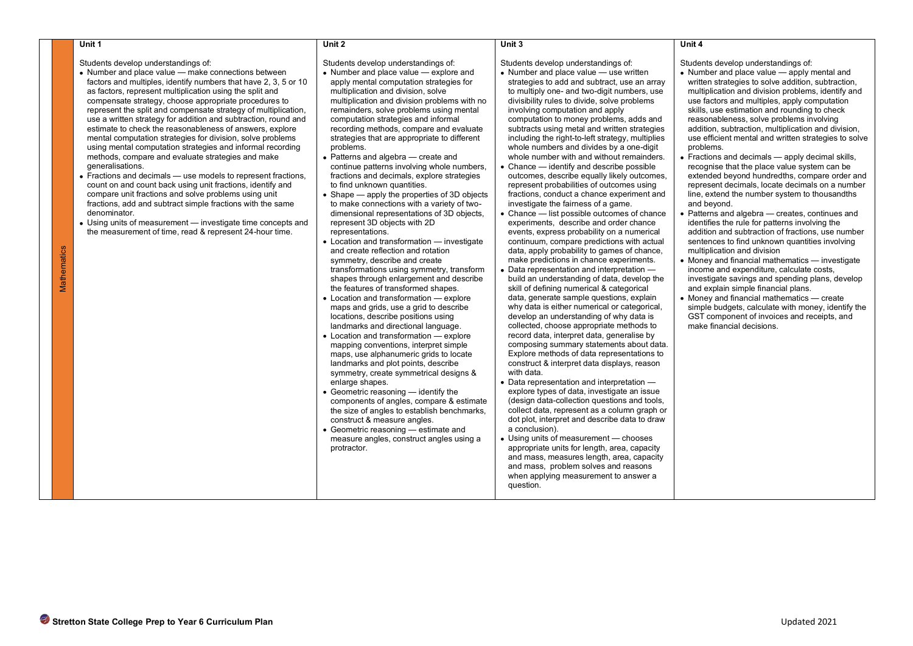|             | Unit 1                                                                                                                                                                                                                                                                                                                                                                                                                                                                                                                                                                                                                                                                                                                                                                                                                                                                                                                                                                                                                                                                                  | Unit 2                                                                                                                                                                                                                                                                                                                                                                                                                                                                                                                                                                                                                                                                                                                                                                                                                                                                                                                                                                                                                                                                                                                                                                                                                                                                                                                                                                                                                                                                                                                                                                                                                                                                                                            | Unit 3                                                                                                                                                                                                                                                                                                                                                                                                                                                                                                                                                                                                                                                                                                                                                                                                                                                                                                                                                                                                                                                                                                                                                                                                                                                                                                                                                                                                                                                                                                                                                                                                                                                                                                                                                                                                                                                                                                                                                                                                                                                        | Unit 4                                                                                                                                                                                                                                                                                                                                                                                                                                                                                                                                                                                                                                                                                                                                                                                                                                                                                                                                                                                                                                                                                                                                                                                                                                                                                                                                                              |
|-------------|-----------------------------------------------------------------------------------------------------------------------------------------------------------------------------------------------------------------------------------------------------------------------------------------------------------------------------------------------------------------------------------------------------------------------------------------------------------------------------------------------------------------------------------------------------------------------------------------------------------------------------------------------------------------------------------------------------------------------------------------------------------------------------------------------------------------------------------------------------------------------------------------------------------------------------------------------------------------------------------------------------------------------------------------------------------------------------------------|-------------------------------------------------------------------------------------------------------------------------------------------------------------------------------------------------------------------------------------------------------------------------------------------------------------------------------------------------------------------------------------------------------------------------------------------------------------------------------------------------------------------------------------------------------------------------------------------------------------------------------------------------------------------------------------------------------------------------------------------------------------------------------------------------------------------------------------------------------------------------------------------------------------------------------------------------------------------------------------------------------------------------------------------------------------------------------------------------------------------------------------------------------------------------------------------------------------------------------------------------------------------------------------------------------------------------------------------------------------------------------------------------------------------------------------------------------------------------------------------------------------------------------------------------------------------------------------------------------------------------------------------------------------------------------------------------------------------|---------------------------------------------------------------------------------------------------------------------------------------------------------------------------------------------------------------------------------------------------------------------------------------------------------------------------------------------------------------------------------------------------------------------------------------------------------------------------------------------------------------------------------------------------------------------------------------------------------------------------------------------------------------------------------------------------------------------------------------------------------------------------------------------------------------------------------------------------------------------------------------------------------------------------------------------------------------------------------------------------------------------------------------------------------------------------------------------------------------------------------------------------------------------------------------------------------------------------------------------------------------------------------------------------------------------------------------------------------------------------------------------------------------------------------------------------------------------------------------------------------------------------------------------------------------------------------------------------------------------------------------------------------------------------------------------------------------------------------------------------------------------------------------------------------------------------------------------------------------------------------------------------------------------------------------------------------------------------------------------------------------------------------------------------------------|---------------------------------------------------------------------------------------------------------------------------------------------------------------------------------------------------------------------------------------------------------------------------------------------------------------------------------------------------------------------------------------------------------------------------------------------------------------------------------------------------------------------------------------------------------------------------------------------------------------------------------------------------------------------------------------------------------------------------------------------------------------------------------------------------------------------------------------------------------------------------------------------------------------------------------------------------------------------------------------------------------------------------------------------------------------------------------------------------------------------------------------------------------------------------------------------------------------------------------------------------------------------------------------------------------------------------------------------------------------------|
| Mathematics | Students develop understandings of:<br>• Number and place value - make connections between<br>factors and multiples, identify numbers that have 2, 3, 5 or 10<br>as factors, represent multiplication using the split and<br>compensate strategy, choose appropriate procedures to<br>represent the split and compensate strategy of multiplication,<br>use a written strategy for addition and subtraction, round and<br>estimate to check the reasonableness of answers, explore<br>mental computation strategies for division, solve problems<br>using mental computation strategies and informal recording<br>methods, compare and evaluate strategies and make<br>generalisations.<br>• Fractions and decimals – use models to represent fractions,<br>count on and count back using unit fractions, identify and<br>compare unit fractions and solve problems using unit<br>fractions, add and subtract simple fractions with the same<br>denominator.<br>• Using units of measurement - investigate time concepts and<br>the measurement of time, read & represent 24-hour time. | Students develop understandings of:<br>• Number and place value — explore and<br>apply mental computation strategies for<br>multiplication and division, solve<br>multiplication and division problems with no<br>remainders, solve problems using mental<br>computation strategies and informal<br>recording methods, compare and evaluate<br>strategies that are appropriate to different<br>problems.<br>• Patterns and algebra - create and<br>continue patterns involving whole numbers,<br>fractions and decimals, explore strategies<br>to find unknown quantities.<br>$\bullet$ Shape — apply the properties of 3D objects<br>to make connections with a variety of two-<br>dimensional representations of 3D objects.<br>represent 3D objects with 2D<br>representations.<br>• Location and transformation - investigate<br>and create reflection and rotation<br>symmetry, describe and create<br>transformations using symmetry, transform<br>shapes through enlargement and describe<br>the features of transformed shapes.<br>• Location and transformation - explore<br>maps and grids, use a grid to describe<br>locations, describe positions using<br>landmarks and directional language.<br>• Location and transformation - explore<br>mapping conventions, interpret simple<br>maps, use alphanumeric grids to locate<br>landmarks and plot points, describe<br>symmetry, create symmetrical designs &<br>enlarge shapes.<br>• Geometric reasoning - identify the<br>components of angles, compare & estimate<br>the size of angles to establish benchmarks,<br>construct & measure angles.<br>• Geometric reasoning — estimate and<br>measure angles, construct angles using a<br>protractor. | Students develop understandings of:<br>• Number and place value — use written<br>strategies to add and subtract, use an array<br>to multiply one- and two-digit numbers, use<br>divisibility rules to divide, solve problems<br>involving computation and apply<br>computation to money problems, adds and<br>subtracts using metal and written strategies<br>including the right-to-left strategy, multiplies<br>whole numbers and divides by a one-digit<br>whole number with and without remainders.<br>• Chance $-$ identify and describe possible<br>outcomes, describe equally likely outcomes,<br>represent probabilities of outcomes using<br>fractions, conduct a chance experiment and<br>investigate the fairness of a game.<br>• Chance - list possible outcomes of chance<br>experiments, describe and order chance<br>events, express probability on a numerical<br>continuum, compare predictions with actual<br>data, apply probability to games of chance,<br>make predictions in chance experiments.<br>• Data representation and interpretation -<br>build an understanding of data, develop the<br>skill of defining numerical & categorical<br>data, generate sample questions, explain<br>why data is either numerical or categorical,<br>develop an understanding of why data is<br>collected, choose appropriate methods to<br>record data, interpret data, generalise by<br>composing summary statements about data.<br>Explore methods of data representations to<br>construct & interpret data displays, reason<br>with data.<br>• Data representation and interpretation -<br>explore types of data, investigate an issue<br>(design data-collection questions and tools,<br>collect data, represent as a column graph or<br>dot plot, interpret and describe data to draw<br>a conclusion).<br>• Using units of measurement - chooses<br>appropriate units for length, area, capacity<br>and mass, measures length, area, capacity<br>and mass, problem solves and reasons<br>when applying measurement to answer a<br>question. | Students develop understandings of:<br>• Number and place value – apply mental and<br>written strategies to solve addition, subtraction,<br>multiplication and division problems, identify and<br>use factors and multiples, apply computation<br>skills, use estimation and rounding to check<br>reasonableness, solve problems involving<br>addition, subtraction, multiplication and division,<br>use efficient mental and written strategies to solve<br>problems.<br>• Fractions and decimals - apply decimal skills,<br>recognise that the place value system can be<br>extended beyond hundredths, compare order and<br>represent decimals, locate decimals on a number<br>line, extend the number system to thousand the<br>and beyond.<br>• Patterns and algebra – creates, continues and<br>identifies the rule for patterns involving the<br>addition and subtraction of fractions, use number<br>sentences to find unknown quantities involving<br>multiplication and division<br>• Money and financial mathematics — investigate<br>income and expenditure, calculate costs,<br>investigate savings and spending plans, develop<br>and explain simple financial plans.<br>• Money and financial mathematics - create<br>simple budgets, calculate with money, identify the<br>GST component of invoices and receipts, and<br>make financial decisions. |
|             |                                                                                                                                                                                                                                                                                                                                                                                                                                                                                                                                                                                                                                                                                                                                                                                                                                                                                                                                                                                                                                                                                         |                                                                                                                                                                                                                                                                                                                                                                                                                                                                                                                                                                                                                                                                                                                                                                                                                                                                                                                                                                                                                                                                                                                                                                                                                                                                                                                                                                                                                                                                                                                                                                                                                                                                                                                   |                                                                                                                                                                                                                                                                                                                                                                                                                                                                                                                                                                                                                                                                                                                                                                                                                                                                                                                                                                                                                                                                                                                                                                                                                                                                                                                                                                                                                                                                                                                                                                                                                                                                                                                                                                                                                                                                                                                                                                                                                                                               |                                                                                                                                                                                                                                                                                                                                                                                                                                                                                                                                                                                                                                                                                                                                                                                                                                                                                                                                                                                                                                                                                                                                                                                                                                                                                                                                                                     |
|             | Stretton State College Prep to Year 6 Curriculum Plan                                                                                                                                                                                                                                                                                                                                                                                                                                                                                                                                                                                                                                                                                                                                                                                                                                                                                                                                                                                                                                   |                                                                                                                                                                                                                                                                                                                                                                                                                                                                                                                                                                                                                                                                                                                                                                                                                                                                                                                                                                                                                                                                                                                                                                                                                                                                                                                                                                                                                                                                                                                                                                                                                                                                                                                   |                                                                                                                                                                                                                                                                                                                                                                                                                                                                                                                                                                                                                                                                                                                                                                                                                                                                                                                                                                                                                                                                                                                                                                                                                                                                                                                                                                                                                                                                                                                                                                                                                                                                                                                                                                                                                                                                                                                                                                                                                                                               | Updated 2021                                                                                                                                                                                                                                                                                                                                                                                                                                                                                                                                                                                                                                                                                                                                                                                                                                                                                                                                                                                                                                                                                                                                                                                                                                                                                                                                                        |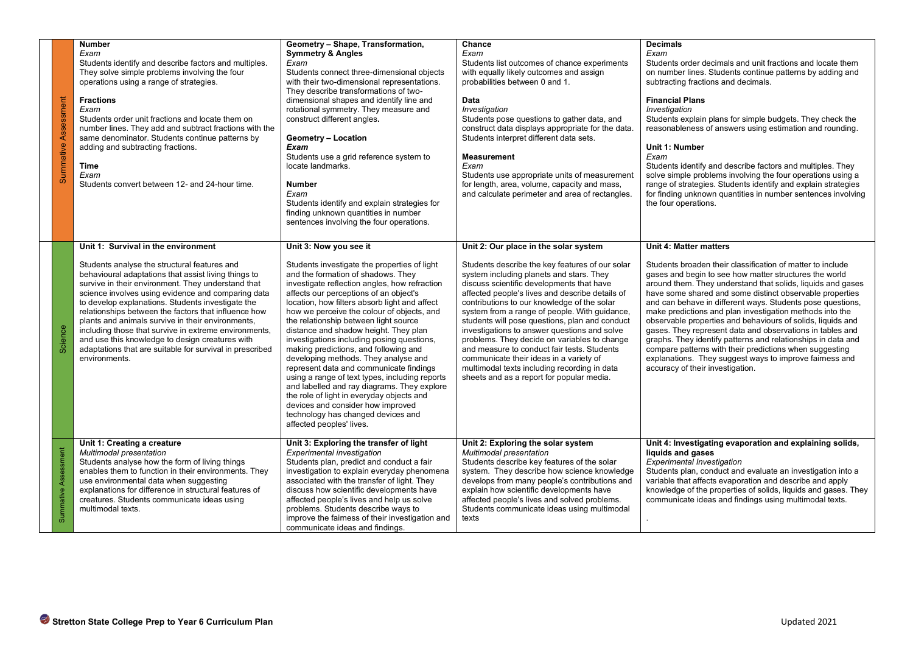| Summative Assessment | <b>Number</b><br>Exam<br>Students identify and describe factors and multiples.<br>They solve simple problems involving the four<br>operations using a range of strategies.<br><b>Fractions</b><br>Exam<br>Students order unit fractions and locate them on<br>number lines. They add and subtract fractions with the<br>same denominator. Students continue patterns by<br>adding and subtracting fractions.<br>Time<br>Exam<br>Students convert between 12- and 24-hour time.                                                                                                                                     | Geometry - Shape, Transformation,<br><b>Symmetry &amp; Angles</b><br>Exam<br>Students connect three-dimensional objects<br>with their two-dimensional representations.<br>They describe transformations of two-<br>dimensional shapes and identify line and<br>rotational symmetry. They measure and<br>construct different angles.<br><b>Geometry - Location</b><br>Exam<br>Students use a grid reference system to<br>locate landmarks.<br><b>Number</b><br>Exam<br>Students identify and explain strategies for<br>finding unknown quantities in number<br>sentences involving the four operations.                                                                                                                                                                                                                  | Chance<br>Exam<br>Students list outcomes of chance experiments<br>with equally likely outcomes and assign<br>probabilities between 0 and 1.<br>Data<br>Investigation<br>Students pose questions to gather data, and<br>construct data displays appropriate for the data.<br>Students interpret different data sets.<br><b>Measurement</b><br>Exam<br>Students use appropriate units of measurement<br>for length, area, volume, capacity and mass,<br>and calculate perimeter and area of rectangles.                                                                                                                                                                         | <b>Decimals</b><br>Exam<br>Students order decimals and unit fractions and locate them<br>on number lines. Students continue patterns by adding and<br>subtracting fractions and decimals.<br><b>Financial Plans</b><br>Investigation<br>Students explain plans for simple budgets. They check the<br>reasonableness of answers using estimation and rounding.<br>Unit 1: Number<br>Exam<br>Students identify and describe factors and multiples. They<br>solve simple problems involving the four operations using a<br>range of strategies. Students identify and explain strategies<br>for finding unknown quantities in number sentences involving<br>the four operations.                                                                                    |  |  |
|----------------------|--------------------------------------------------------------------------------------------------------------------------------------------------------------------------------------------------------------------------------------------------------------------------------------------------------------------------------------------------------------------------------------------------------------------------------------------------------------------------------------------------------------------------------------------------------------------------------------------------------------------|-------------------------------------------------------------------------------------------------------------------------------------------------------------------------------------------------------------------------------------------------------------------------------------------------------------------------------------------------------------------------------------------------------------------------------------------------------------------------------------------------------------------------------------------------------------------------------------------------------------------------------------------------------------------------------------------------------------------------------------------------------------------------------------------------------------------------|-------------------------------------------------------------------------------------------------------------------------------------------------------------------------------------------------------------------------------------------------------------------------------------------------------------------------------------------------------------------------------------------------------------------------------------------------------------------------------------------------------------------------------------------------------------------------------------------------------------------------------------------------------------------------------|------------------------------------------------------------------------------------------------------------------------------------------------------------------------------------------------------------------------------------------------------------------------------------------------------------------------------------------------------------------------------------------------------------------------------------------------------------------------------------------------------------------------------------------------------------------------------------------------------------------------------------------------------------------------------------------------------------------------------------------------------------------|--|--|
| Science              | Unit 1: Survival in the environment<br>Students analyse the structural features and<br>behavioural adaptations that assist living things to<br>survive in their environment. They understand that<br>science involves using evidence and comparing data<br>to develop explanations. Students investigate the<br>relationships between the factors that influence how<br>plants and animals survive in their environments,<br>including those that survive in extreme environments,<br>and use this knowledge to design creatures with<br>adaptations that are suitable for survival in prescribed<br>environments. | Unit 3: Now you see it<br>Students investigate the properties of light<br>and the formation of shadows. They<br>investigate reflection angles, how refraction<br>affects our perceptions of an object's<br>location, how filters absorb light and affect<br>how we perceive the colour of objects, and<br>the relationship between light source<br>distance and shadow height. They plan<br>investigations including posing questions,<br>making predictions, and following and<br>developing methods. They analyse and<br>represent data and communicate findings<br>using a range of text types, including reports<br>and labelled and ray diagrams. They explore<br>the role of light in everyday objects and<br>devices and consider how improved<br>technology has changed devices and<br>affected peoples' lives. | Unit 2: Our place in the solar system<br>Students describe the key features of our solar<br>system including planets and stars. They<br>discuss scientific developments that have<br>affected people's lives and describe details of<br>contributions to our knowledge of the solar<br>system from a range of people. With guidance,<br>students will pose questions, plan and conduct<br>investigations to answer questions and solve<br>problems. They decide on variables to change<br>and measure to conduct fair tests. Students<br>communicate their ideas in a variety of<br>multimodal texts including recording in data<br>sheets and as a report for popular media. | <b>Unit 4: Matter matters</b><br>Students broaden their classification of matter to include<br>gases and begin to see how matter structures the world<br>around them. They understand that solids, liquids and gases<br>have some shared and some distinct observable properties<br>and can behave in different ways. Students pose questions,<br>make predictions and plan investigation methods into the<br>observable properties and behaviours of solids, liquids and<br>gases. They represent data and observations in tables and<br>graphs. They identify patterns and relationships in data and<br>compare patterns with their predictions when suggesting<br>explanations. They suggest ways to improve fairness and<br>accuracy of their investigation. |  |  |
| Summative Assessment | Unit 1: Creating a creature<br>Multimodal presentation<br>Students analyse how the form of living things<br>enables them to function in their environments. They<br>use environmental data when suggesting<br>explanations for difference in structural features of<br>creatures. Students communicate ideas using<br>multimodal texts.                                                                                                                                                                                                                                                                            | Unit 3: Exploring the transfer of light<br><b>Experimental investigation</b><br>Students plan, predict and conduct a fair<br>investigation to explain everyday phenomena<br>associated with the transfer of light. They<br>discuss how scientific developments have<br>affected people's lives and help us solve<br>problems. Students describe ways to<br>improve the fairness of their investigation and<br>communicate ideas and findings.                                                                                                                                                                                                                                                                                                                                                                           | Unit 2: Exploring the solar system<br>Multimodal presentation<br>Students describe key features of the solar<br>system. They describe how science knowledge<br>develops from many people's contributions and<br>explain how scientific developments have<br>affected people's lives and solved problems.<br>Students communicate ideas using multimodal<br>texts                                                                                                                                                                                                                                                                                                              | Unit 4: Investigating evaporation and explaining solids,<br>liquids and gases<br>Experimental Investigation<br>Students plan, conduct and evaluate an investigation into a<br>variable that affects evaporation and describe and apply<br>knowledge of the properties of solids, liquids and gases. They<br>communicate ideas and findings using multimodal texts.                                                                                                                                                                                                                                                                                                                                                                                               |  |  |
|                      | Stretton State College Prep to Year 6 Curriculum Plan<br>Updated 2021                                                                                                                                                                                                                                                                                                                                                                                                                                                                                                                                              |                                                                                                                                                                                                                                                                                                                                                                                                                                                                                                                                                                                                                                                                                                                                                                                                                         |                                                                                                                                                                                                                                                                                                                                                                                                                                                                                                                                                                                                                                                                               |                                                                                                                                                                                                                                                                                                                                                                                                                                                                                                                                                                                                                                                                                                                                                                  |  |  |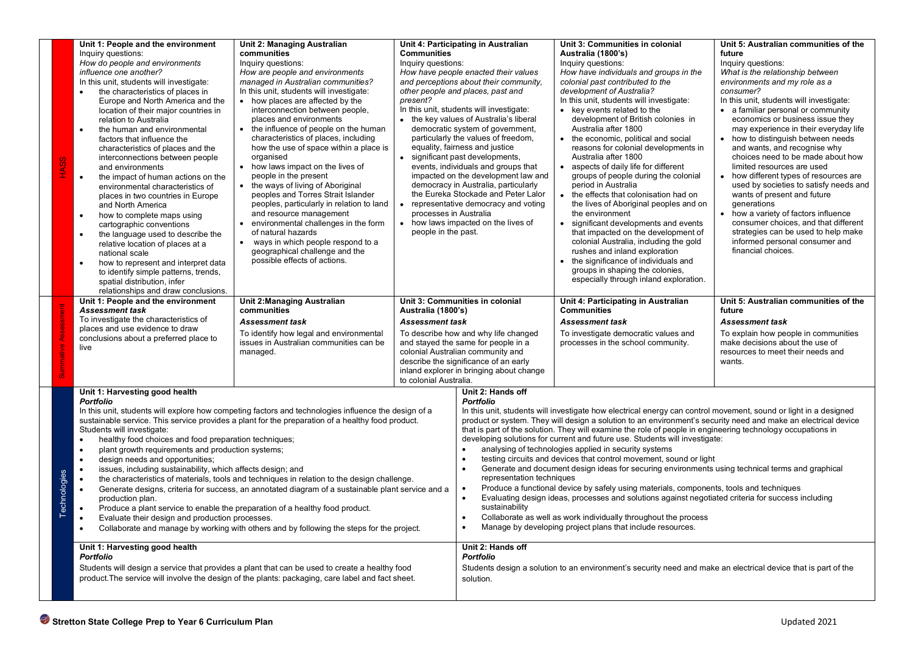| <b>HASS</b>                                                                                                                                                                                                                                                                                                                                                                                                                                                                                                                                                                                                                                                                                                                                                                                                                                                                                                                                                                                                                                                                                                                                                                                                                                                                                                                                         | Unit 1: People and the environment<br>Inquiry questions:<br>How do people and environments<br>influence one another?<br>In this unit, students will investigate:<br>the characteristics of places in<br>Europe and North America and the<br>location of their major countries in<br>relation to Australia<br>$\bullet$<br>the human and environmental<br>factors that influence the<br>characteristics of places and the<br>interconnections between people<br>and environments<br>$\bullet$<br>the impact of human actions on the<br>environmental characteristics of<br>places in two countries in Europe<br>and North America<br>how to complete maps using<br>$\bullet$<br>cartographic conventions<br>the language used to describe the<br>relative location of places at a<br>national scale<br>how to represent and interpret data<br>$\bullet$<br>to identify simple patterns, trends,<br>spatial distribution, infer<br>relationships and draw conclusions. | Unit 2: Managing Australian<br>communities<br>Inquiry questions:<br>How are people and environments<br>managed in Australian communities?<br>In this unit, students will investigate:<br>• how places are affected by the<br>interconnection between people,<br>places and environments<br>• the influence of people on the human<br>characteristics of places, including<br>how the use of space within a place is<br>organised<br>• how laws impact on the lives of<br>people in the present<br>• the ways of living of Aboriginal<br>peoples and Torres Strait Islander<br>peoples, particularly in relation to land<br>and resource management<br>environmental challenges in the form<br>of natural hazards<br>ways in which people respond to a<br>$\bullet$<br>geographical challenge and the<br>possible effects of actions. | <b>Communities</b><br>Inquiry questions:<br>present?<br>$\bullet$<br>$\bullet$<br>processes in Australia<br>people in the past.                                                                | Unit 4: Participating in Australian<br>How have people enacted their values<br>and perceptions about their community,<br>other people and places, past and<br>In this unit, students will investigate:<br>• the key values of Australia's liberal<br>democratic system of government,<br>particularly the values of freedom,<br>equality, fairness and justice<br>significant past developments,<br>events, individuals and groups that<br>impacted on the development law and<br>democracy in Australia, particularly<br>the Eureka Stockade and Peter Lalor<br>representative democracy and voting<br>• how laws impacted on the lives of                                                                                                                                                                                                                                                                                                                                                                                                                                                                             | Unit 3: Communities in colonial<br>Australia (1800's)<br>Inquiry questions:<br>How have individuals and groups in the<br>colonial past contributed to the<br>development of Australia?<br>In this unit, students will investigate:<br>• key events related to the<br>development of British colonies in<br>Australia after 1800<br>• the economic, political and social<br>reasons for colonial developments in<br>Australia after 1800<br>• aspects of daily life for different<br>groups of people during the colonial<br>period in Australia<br>• the effects that colonisation had on<br>the lives of Aboriginal peoples and on<br>the environment<br>• significant developments and events<br>that impacted on the development of<br>colonial Australia, including the gold<br>rushes and inland exploration<br>the significance of individuals and<br>groups in shaping the colonies,<br>especially through inland exploration. | Unit 5: Australian communities of the<br>future<br>Inquiry questions:<br>What is the relationship between<br>environments and my role as a<br>consumer?<br>In this unit, students will investigate:<br>• a familiar personal or community<br>economics or business issue they<br>may experience in their everyday life<br>• how to distinguish between needs<br>and wants, and recognise why<br>choices need to be made about how<br>limited resources are used<br>• how different types of resources are<br>used by societies to satisfy needs and<br>wants of present and future<br>generations<br>• how a variety of factors influence<br>consumer choices, and that different<br>strategies can be used to help make<br>informed personal consumer and<br>financial choices. |
|-----------------------------------------------------------------------------------------------------------------------------------------------------------------------------------------------------------------------------------------------------------------------------------------------------------------------------------------------------------------------------------------------------------------------------------------------------------------------------------------------------------------------------------------------------------------------------------------------------------------------------------------------------------------------------------------------------------------------------------------------------------------------------------------------------------------------------------------------------------------------------------------------------------------------------------------------------------------------------------------------------------------------------------------------------------------------------------------------------------------------------------------------------------------------------------------------------------------------------------------------------------------------------------------------------------------------------------------------------|----------------------------------------------------------------------------------------------------------------------------------------------------------------------------------------------------------------------------------------------------------------------------------------------------------------------------------------------------------------------------------------------------------------------------------------------------------------------------------------------------------------------------------------------------------------------------------------------------------------------------------------------------------------------------------------------------------------------------------------------------------------------------------------------------------------------------------------------------------------------------------------------------------------------------------------------------------------------|--------------------------------------------------------------------------------------------------------------------------------------------------------------------------------------------------------------------------------------------------------------------------------------------------------------------------------------------------------------------------------------------------------------------------------------------------------------------------------------------------------------------------------------------------------------------------------------------------------------------------------------------------------------------------------------------------------------------------------------------------------------------------------------------------------------------------------------|------------------------------------------------------------------------------------------------------------------------------------------------------------------------------------------------|-------------------------------------------------------------------------------------------------------------------------------------------------------------------------------------------------------------------------------------------------------------------------------------------------------------------------------------------------------------------------------------------------------------------------------------------------------------------------------------------------------------------------------------------------------------------------------------------------------------------------------------------------------------------------------------------------------------------------------------------------------------------------------------------------------------------------------------------------------------------------------------------------------------------------------------------------------------------------------------------------------------------------------------------------------------------------------------------------------------------------|---------------------------------------------------------------------------------------------------------------------------------------------------------------------------------------------------------------------------------------------------------------------------------------------------------------------------------------------------------------------------------------------------------------------------------------------------------------------------------------------------------------------------------------------------------------------------------------------------------------------------------------------------------------------------------------------------------------------------------------------------------------------------------------------------------------------------------------------------------------------------------------------------------------------------------------|----------------------------------------------------------------------------------------------------------------------------------------------------------------------------------------------------------------------------------------------------------------------------------------------------------------------------------------------------------------------------------------------------------------------------------------------------------------------------------------------------------------------------------------------------------------------------------------------------------------------------------------------------------------------------------------------------------------------------------------------------------------------------------|
|                                                                                                                                                                                                                                                                                                                                                                                                                                                                                                                                                                                                                                                                                                                                                                                                                                                                                                                                                                                                                                                                                                                                                                                                                                                                                                                                                     | Unit 1: People and the environment<br><b>Assessment task</b><br>To investigate the characteristics of<br>places and use evidence to draw<br>conclusions about a preferred place to<br>live                                                                                                                                                                                                                                                                                                                                                                                                                                                                                                                                                                                                                                                                                                                                                                           | <b>Unit 2:Managing Australian</b><br>communities<br><b>Assessment task</b><br>To identify how legal and environmental<br>issues in Australian communities can be<br>managed.                                                                                                                                                                                                                                                                                                                                                                                                                                                                                                                                                                                                                                                         | Australia (1800's)<br><b>Assessment task</b><br>to colonial Australia.                                                                                                                         | Unit 3: Communities in colonial<br>To describe how and why life changed<br>and stayed the same for people in a<br>colonial Australian community and<br>describe the significance of an early<br>inland explorer in bringing about change                                                                                                                                                                                                                                                                                                                                                                                                                                                                                                                                                                                                                                                                                                                                                                                                                                                                                | Unit 4: Participating in Australian<br><b>Communities</b><br><b>Assessment task</b><br>To investigate democratic values and<br>processes in the school community.                                                                                                                                                                                                                                                                                                                                                                                                                                                                                                                                                                                                                                                                                                                                                                     | Unit 5: Australian communities of the<br>future<br>Assessment task<br>To explain how people in communities<br>make decisions about the use of<br>resources to meet their needs and<br>wants.                                                                                                                                                                                                                                                                                                                                                                                                                                                                                                                                                                                     |
| Unit 1: Harvesting good health<br><b>Portfolio</b><br>In this unit, students will explore how competing factors and technologies influence the design of a<br>sustainable service. This service provides a plant for the preparation of a healthy food product.<br>Students will investigate:<br>healthy food choices and food preparation techniques;<br>$\bullet$<br>$\bullet$<br>plant growth requirements and production systems;<br>design needs and opportunities;<br>$\bullet$<br>issues, including sustainability, which affects design; and<br>$\bullet$<br>Technologies<br>the characteristics of materials, tools and techniques in relation to the design challenge.<br>$\bullet$<br>Generate designs, criteria for success, an annotated diagram of a sustainable plant service and a<br>$\bullet$<br>production plan.<br>Produce a plant service to enable the preparation of a healthy food product.<br>$\bullet$<br>Evaluate their design and production processes.<br>Collaborate and manage by working with others and by following the steps for the project.<br>$\bullet$<br>Unit 1: Harvesting good health<br>Portfolio<br>Students will design a service that provides a plant that can be used to create a healthy food<br>product. The service will involve the design of the plants: packaging, care label and fact sheet. |                                                                                                                                                                                                                                                                                                                                                                                                                                                                                                                                                                                                                                                                                                                                                                                                                                                                                                                                                                      |                                                                                                                                                                                                                                                                                                                                                                                                                                                                                                                                                                                                                                                                                                                                                                                                                                      | Unit 2: Hands off<br><b>Portfolio</b><br>$\bullet$<br>$\bullet$<br>representation techniques<br>sustainability<br>$\bullet$<br>$\bullet$<br>Unit 2: Hands off<br><b>Portfolio</b><br>solution. | In this unit, students will investigate how electrical energy can control movement, sound or light in a designed<br>product or system. They will design a solution to an environment's security need and make an electrical device<br>that is part of the solution. They will examine the role of people in engineering technology occupations in<br>developing solutions for current and future use. Students will investigate:<br>analysing of technologies applied in security systems<br>testing circuits and devices that control movement, sound or light<br>Generate and document design ideas for securing environments using technical terms and graphical<br>Produce a functional device by safely using materials, components, tools and techniques<br>Evaluating design ideas, processes and solutions against negotiated criteria for success including<br>Collaborate as well as work individually throughout the process<br>Manage by developing project plans that include resources.<br>Students design a solution to an environment's security need and make an electrical device that is part of the |                                                                                                                                                                                                                                                                                                                                                                                                                                                                                                                                                                                                                                                                                                                                                                                                                                                                                                                                       |                                                                                                                                                                                                                                                                                                                                                                                                                                                                                                                                                                                                                                                                                                                                                                                  |
|                                                                                                                                                                                                                                                                                                                                                                                                                                                                                                                                                                                                                                                                                                                                                                                                                                                                                                                                                                                                                                                                                                                                                                                                                                                                                                                                                     | Stretton State College Prep to Year 6 Curriculum Plan                                                                                                                                                                                                                                                                                                                                                                                                                                                                                                                                                                                                                                                                                                                                                                                                                                                                                                                |                                                                                                                                                                                                                                                                                                                                                                                                                                                                                                                                                                                                                                                                                                                                                                                                                                      |                                                                                                                                                                                                |                                                                                                                                                                                                                                                                                                                                                                                                                                                                                                                                                                                                                                                                                                                                                                                                                                                                                                                                                                                                                                                                                                                         |                                                                                                                                                                                                                                                                                                                                                                                                                                                                                                                                                                                                                                                                                                                                                                                                                                                                                                                                       | Updated 2021                                                                                                                                                                                                                                                                                                                                                                                                                                                                                                                                                                                                                                                                                                                                                                     |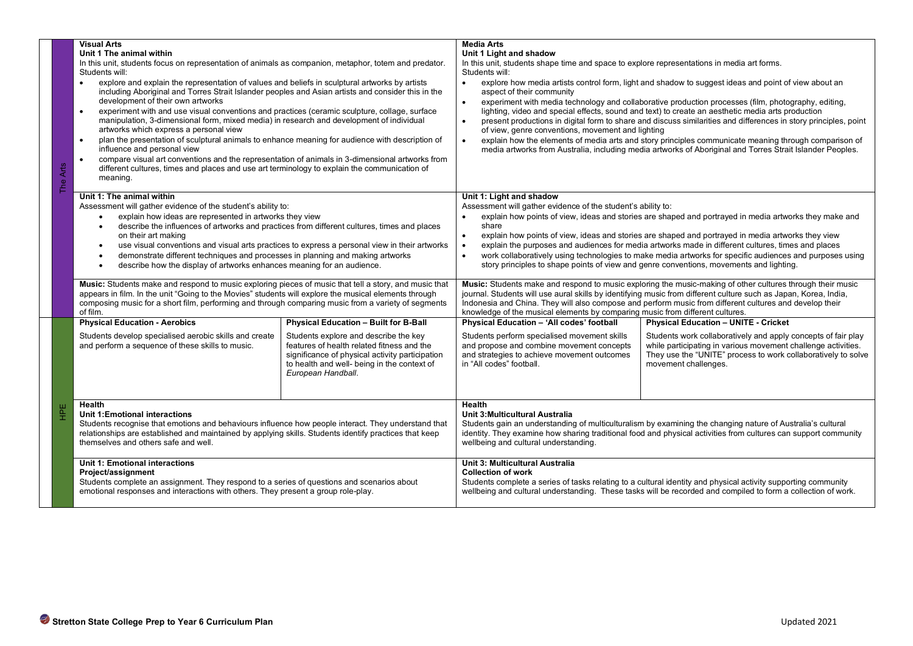| The Arts                                                                                                                                                                                                                                | <b>Visual Arts</b><br>Unit 1 The animal within<br>In this unit, students focus on representation of animals as companion, metaphor, totem and predator.<br>Students will:<br>explore and explain the representation of values and beliefs in sculptural artworks by artists<br>$\bullet$<br>including Aboriginal and Torres Strait Islander peoples and Asian artists and consider this in the<br>development of their own artworks<br>experiment with and use visual conventions and practices (ceramic sculpture, collage, surface<br>$\bullet$<br>manipulation, 3-dimensional form, mixed media) in research and development of individual<br>artworks which express a personal view<br>plan the presentation of sculptural animals to enhance meaning for audience with description of<br>$\bullet$<br>influence and personal view<br>compare visual art conventions and the representation of animals in 3-dimensional artworks from<br>$\bullet$<br>different cultures, times and places and use art terminology to explain the communication of<br>meaning. |                                                                                                                                                                                                                                                                                                 | <b>Media Arts</b><br>Unit 1 Light and shadow<br>In this unit, students shape time and space to explore representations in media art forms.<br>Students will:<br>explore how media artists control form, light and shadow to suggest ideas and point of view about an<br>$\bullet$<br>aspect of their community<br>experiment with media technology and collaborative production processes (film, photography, editing,<br>lighting, video and special effects, sound and text) to create an aesthetic media arts production<br>present productions in digital form to share and discuss similarities and differences in story principles, point<br>of view, genre conventions, movement and lighting<br>explain how the elements of media arts and story principles communicate meaning through comparison of<br>$\bullet$<br>media artworks from Australia, including media artworks of Aboriginal and Torres Strait Islander Peoples. |                                                                                                                                                                                                                                                                        |  |  |
|-----------------------------------------------------------------------------------------------------------------------------------------------------------------------------------------------------------------------------------------|--------------------------------------------------------------------------------------------------------------------------------------------------------------------------------------------------------------------------------------------------------------------------------------------------------------------------------------------------------------------------------------------------------------------------------------------------------------------------------------------------------------------------------------------------------------------------------------------------------------------------------------------------------------------------------------------------------------------------------------------------------------------------------------------------------------------------------------------------------------------------------------------------------------------------------------------------------------------------------------------------------------------------------------------------------------------|-------------------------------------------------------------------------------------------------------------------------------------------------------------------------------------------------------------------------------------------------------------------------------------------------|-----------------------------------------------------------------------------------------------------------------------------------------------------------------------------------------------------------------------------------------------------------------------------------------------------------------------------------------------------------------------------------------------------------------------------------------------------------------------------------------------------------------------------------------------------------------------------------------------------------------------------------------------------------------------------------------------------------------------------------------------------------------------------------------------------------------------------------------------------------------------------------------------------------------------------------------|------------------------------------------------------------------------------------------------------------------------------------------------------------------------------------------------------------------------------------------------------------------------|--|--|
|                                                                                                                                                                                                                                         | Unit 1: The animal within<br>Assessment will gather evidence of the student's ability to:<br>explain how ideas are represented in artworks they view<br>$\bullet$<br>describe the influences of artworks and practices from different cultures, times and places<br>on their art making<br>use visual conventions and visual arts practices to express a personal view in their artworks<br>demonstrate different techniques and processes in planning and making artworks<br>describe how the display of artworks enhances meaning for an audience.<br>Music: Students make and respond to music exploring pieces of music that tell a story, and music that<br>appears in film. In the unit "Going to the Movies" students will explore the musical elements through<br>composing music for a short film, performing and through comparing music from a variety of segments<br>of film.                                                                                                                                                                          |                                                                                                                                                                                                                                                                                                 | Unit 1: Light and shadow<br>Assessment will gather evidence of the student's ability to:<br>explain how points of view, ideas and stories are shaped and portrayed in media artworks they make and<br>$\bullet$<br>share<br>explain how points of view, ideas and stories are shaped and portrayed in media artworks they view<br>$\bullet$<br>explain the purposes and audiences for media artworks made in different cultures, times and places<br>work collaboratively using technologies to make media artworks for specific audiences and purposes using<br>$\bullet$<br>story principles to shape points of view and genre conventions, movements and lighting.                                                                                                                                                                                                                                                                   |                                                                                                                                                                                                                                                                        |  |  |
|                                                                                                                                                                                                                                         |                                                                                                                                                                                                                                                                                                                                                                                                                                                                                                                                                                                                                                                                                                                                                                                                                                                                                                                                                                                                                                                                    |                                                                                                                                                                                                                                                                                                 | Music: Students make and respond to music exploring the music-making of other cultures through their music<br>journal. Students will use aural skills by identifying music from different culture such as Japan, Korea, India,<br>Indonesia and China. They will also compose and perform music from different cultures and develop their<br>knowledge of the musical elements by comparing music from different cultures.                                                                                                                                                                                                                                                                                                                                                                                                                                                                                                              |                                                                                                                                                                                                                                                                        |  |  |
|                                                                                                                                                                                                                                         | <b>Physical Education - Aerobics</b><br>Students develop specialised aerobic skills and create<br>and perform a sequence of these skills to music.                                                                                                                                                                                                                                                                                                                                                                                                                                                                                                                                                                                                                                                                                                                                                                                                                                                                                                                 | <b>Physical Education - Built for B-Ball</b><br>Students explore and describe the key<br>features of health related fitness and the<br>significance of physical activity participation<br>to health and well- being in the context of<br>European Handball.                                     | Physical Education - 'All codes' football<br>Students perform specialised movement skills<br>and propose and combine movement concepts<br>and strategies to achieve movement outcomes<br>in "All codes" football.                                                                                                                                                                                                                                                                                                                                                                                                                                                                                                                                                                                                                                                                                                                       | <b>Physical Education - UNITE - Cricket</b><br>Students work collaboratively and apply concepts of fair play<br>while participating in various movement challenge activities.<br>They use the "UNITE" process to work collaboratively to solve<br>movement challenges. |  |  |
| HPE<br>                                                                                                                                                                                                                                 | Health<br>Unit 1:Emotional interactions<br>Students recognise that emotions and behaviours influence how people interact. They understand that<br>relationships are established and maintained by applying skills. Students identify practices that keep<br>themselves and others safe and well.                                                                                                                                                                                                                                                                                                                                                                                                                                                                                                                                                                                                                                                                                                                                                                   |                                                                                                                                                                                                                                                                                                 | Health<br>Unit 3: Multicultural Australia<br>Students gain an understanding of multiculturalism by examining the changing nature of Australia's cultural<br>identity. They examine how sharing traditional food and physical activities from cultures can support community<br>wellbeing and cultural understanding.                                                                                                                                                                                                                                                                                                                                                                                                                                                                                                                                                                                                                    |                                                                                                                                                                                                                                                                        |  |  |
| Unit 1: Emotional interactions<br>Project/assignment<br>Students complete an assignment. They respond to a series of questions and scenarios about<br>emotional responses and interactions with others. They present a group role-play. |                                                                                                                                                                                                                                                                                                                                                                                                                                                                                                                                                                                                                                                                                                                                                                                                                                                                                                                                                                                                                                                                    | Unit 3: Multicultural Australia<br><b>Collection of work</b><br>Students complete a series of tasks relating to a cultural identity and physical activity supporting community<br>wellbeing and cultural understanding. These tasks will be recorded and compiled to form a collection of work. |                                                                                                                                                                                                                                                                                                                                                                                                                                                                                                                                                                                                                                                                                                                                                                                                                                                                                                                                         |                                                                                                                                                                                                                                                                        |  |  |
|                                                                                                                                                                                                                                         |                                                                                                                                                                                                                                                                                                                                                                                                                                                                                                                                                                                                                                                                                                                                                                                                                                                                                                                                                                                                                                                                    |                                                                                                                                                                                                                                                                                                 |                                                                                                                                                                                                                                                                                                                                                                                                                                                                                                                                                                                                                                                                                                                                                                                                                                                                                                                                         |                                                                                                                                                                                                                                                                        |  |  |
|                                                                                                                                                                                                                                         | Stretton State College Prep to Year 6 Curriculum Plan                                                                                                                                                                                                                                                                                                                                                                                                                                                                                                                                                                                                                                                                                                                                                                                                                                                                                                                                                                                                              |                                                                                                                                                                                                                                                                                                 |                                                                                                                                                                                                                                                                                                                                                                                                                                                                                                                                                                                                                                                                                                                                                                                                                                                                                                                                         | Updated 2021                                                                                                                                                                                                                                                           |  |  |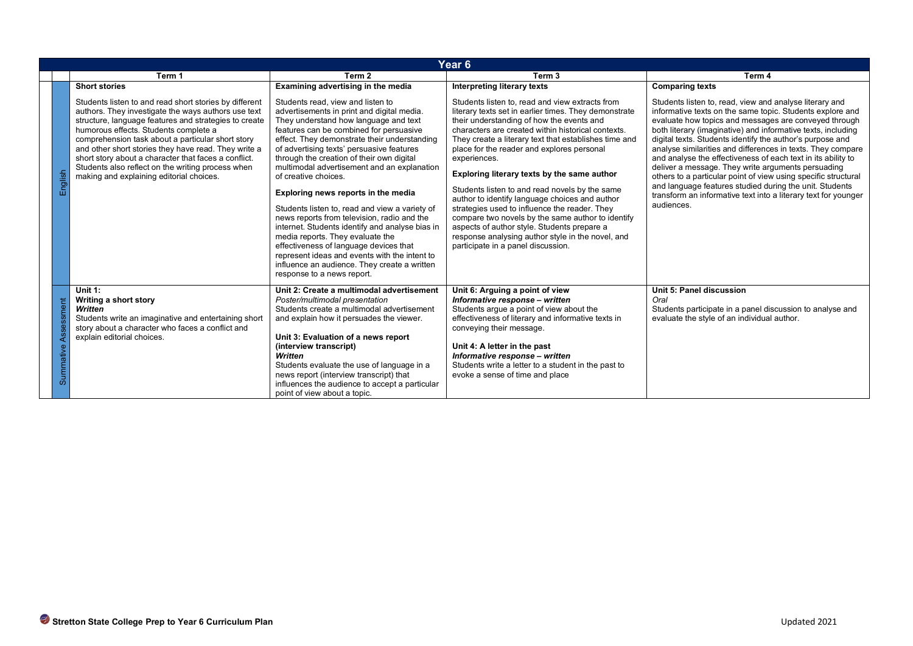| Year 6              |                                                                                                                                                                                                                                                                                                                                                                                                                                                                                                               |                                                                                                                                                                                                                                                                                                                                                                                                                                                                                                                                                                                                                                                                                                                                                      |                                                                                                                                                                                                                                                                                                                                                                                                                                                                                                                                                                                                                                                                                                                                                                      |                                                                                                                                                                                                                                                                                                                                                                                                                                                                                                                                                                                                                                                                                                                                        |  |  |
|---------------------|---------------------------------------------------------------------------------------------------------------------------------------------------------------------------------------------------------------------------------------------------------------------------------------------------------------------------------------------------------------------------------------------------------------------------------------------------------------------------------------------------------------|------------------------------------------------------------------------------------------------------------------------------------------------------------------------------------------------------------------------------------------------------------------------------------------------------------------------------------------------------------------------------------------------------------------------------------------------------------------------------------------------------------------------------------------------------------------------------------------------------------------------------------------------------------------------------------------------------------------------------------------------------|----------------------------------------------------------------------------------------------------------------------------------------------------------------------------------------------------------------------------------------------------------------------------------------------------------------------------------------------------------------------------------------------------------------------------------------------------------------------------------------------------------------------------------------------------------------------------------------------------------------------------------------------------------------------------------------------------------------------------------------------------------------------|----------------------------------------------------------------------------------------------------------------------------------------------------------------------------------------------------------------------------------------------------------------------------------------------------------------------------------------------------------------------------------------------------------------------------------------------------------------------------------------------------------------------------------------------------------------------------------------------------------------------------------------------------------------------------------------------------------------------------------------|--|--|
|                     | Term 1                                                                                                                                                                                                                                                                                                                                                                                                                                                                                                        | Term 2                                                                                                                                                                                                                                                                                                                                                                                                                                                                                                                                                                                                                                                                                                                                               | Term <sub>3</sub>                                                                                                                                                                                                                                                                                                                                                                                                                                                                                                                                                                                                                                                                                                                                                    | Term 4                                                                                                                                                                                                                                                                                                                                                                                                                                                                                                                                                                                                                                                                                                                                 |  |  |
| English             | <b>Short stories</b><br>Students listen to and read short stories by different<br>authors. They investigate the ways authors use text<br>structure, language features and strategies to create<br>humorous effects. Students complete a<br>comprehension task about a particular short story<br>and other short stories they have read. They write a<br>short story about a character that faces a conflict.<br>Students also reflect on the writing process when<br>making and explaining editorial choices. | Examining advertising in the media<br>Students read, view and listen to<br>advertisements in print and digital media.<br>They understand how language and text<br>features can be combined for persuasive<br>effect. They demonstrate their understanding<br>of advertising texts' persuasive features<br>through the creation of their own digital<br>multimodal advertisement and an explanation<br>of creative choices.<br>Exploring news reports in the media<br>Students listen to, read and view a variety of<br>news reports from television, radio and the<br>internet. Students identify and analyse bias in<br>media reports. They evaluate the<br>effectiveness of language devices that<br>represent ideas and events with the intent to | Interpreting literary texts<br>Students listen to, read and view extracts from<br>literary texts set in earlier times. They demonstrate<br>their understanding of how the events and<br>characters are created within historical contexts.<br>They create a literary text that establishes time and<br>place for the reader and explores personal<br>experiences.<br>Exploring literary texts by the same author<br>Students listen to and read novels by the same<br>author to identify language choices and author<br>strategies used to influence the reader. They<br>compare two novels by the same author to identify<br>aspects of author style. Students prepare a<br>response analysing author style in the novel, and<br>participate in a panel discussion. | <b>Comparing texts</b><br>Students listen to, read, view and analyse literary and<br>informative texts on the same topic. Students explore and<br>evaluate how topics and messages are conveyed through<br>both literary (imaginative) and informative texts, including<br>digital texts. Students identify the author's purpose and<br>analyse similarities and differences in texts. They compare<br>and analyse the effectiveness of each text in its ability to<br>deliver a message. They write arguments persuading<br>others to a particular point of view using specific structural<br>and language features studied during the unit. Students<br>transform an informative text into a literary text for younger<br>audiences. |  |  |
| ssment<br>Summative | Unit 1:<br>Writing a short story<br>Written<br>Students write an imaginative and entertaining short<br>story about a character who faces a conflict and<br>explain editorial choices.                                                                                                                                                                                                                                                                                                                         | influence an audience. They create a written<br>response to a news report.<br>Unit 2: Create a multimodal advertisement<br>Poster/multimodal presentation<br>Students create a multimodal advertisement<br>and explain how it persuades the viewer.<br>Unit 3: Evaluation of a news report<br>(interview transcript)<br>Written<br>Students evaluate the use of language in a<br>news report (interview transcript) that<br>influences the audience to accept a particular<br>point of view about a topic.                                                                                                                                                                                                                                           | Unit 6: Arguing a point of view<br>Informative response - written<br>Students argue a point of view about the<br>effectiveness of literary and informative texts in<br>conveying their message.<br>Unit 4: A letter in the past<br>Informative response - written<br>Students write a letter to a student in the past to<br>evoke a sense of time and place                                                                                                                                                                                                                                                                                                                                                                                                          | Unit 5: Panel discussion<br>Oral<br>Students participate in a panel discussion to analyse and<br>evaluate the style of an individual author.                                                                                                                                                                                                                                                                                                                                                                                                                                                                                                                                                                                           |  |  |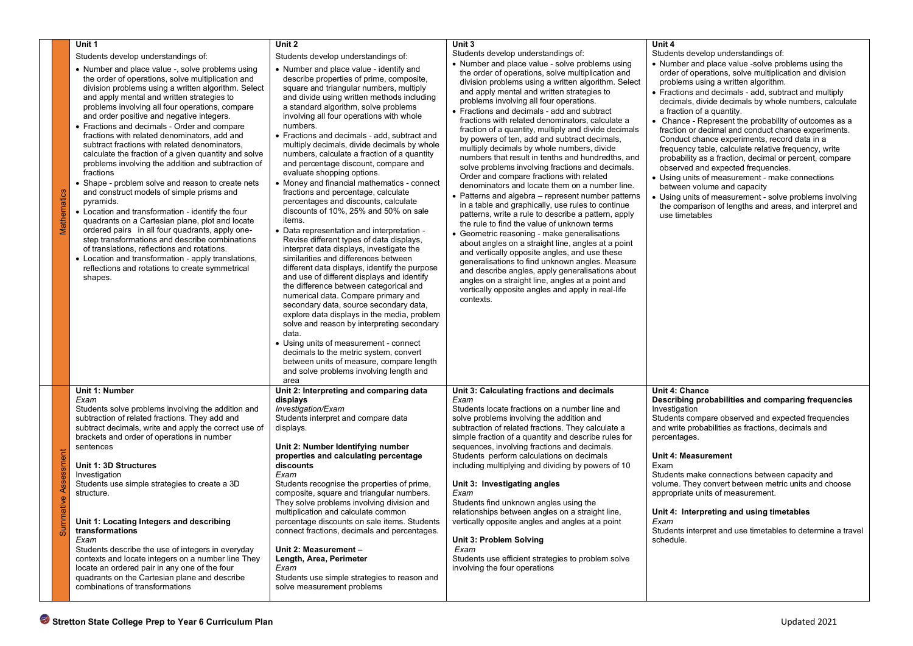|              | Unit 1                                                                                                                                                                                                                                                                                                                                                                                                                                                                                                                                                                                                                                                                                                                                                                                                                                                                                                                                                                                                                                                                                 | Unit 2                                                                                                                                                                                                                                                                                                                                                                                                                                                                                                                                                                                                                                                                                                                                                                                                                                                                                                                                                                                                                                                                                                                                                                                                                                                                                                                                                                             | Unit 3                                                                                                                                                                                                                                                                                                                                                                                                                                                                                                                                                                                                                                                                                                                                                                                                                                                                                                                                                                                                                                                                                                                                                                                                                                                                                                                    | Unit 4                                                                                                                                                                                                                                                                                                                                                                                                                                                                                                                                                                                                                                                                                                                                                                                                                                              |  |  |  |
|--------------|----------------------------------------------------------------------------------------------------------------------------------------------------------------------------------------------------------------------------------------------------------------------------------------------------------------------------------------------------------------------------------------------------------------------------------------------------------------------------------------------------------------------------------------------------------------------------------------------------------------------------------------------------------------------------------------------------------------------------------------------------------------------------------------------------------------------------------------------------------------------------------------------------------------------------------------------------------------------------------------------------------------------------------------------------------------------------------------|------------------------------------------------------------------------------------------------------------------------------------------------------------------------------------------------------------------------------------------------------------------------------------------------------------------------------------------------------------------------------------------------------------------------------------------------------------------------------------------------------------------------------------------------------------------------------------------------------------------------------------------------------------------------------------------------------------------------------------------------------------------------------------------------------------------------------------------------------------------------------------------------------------------------------------------------------------------------------------------------------------------------------------------------------------------------------------------------------------------------------------------------------------------------------------------------------------------------------------------------------------------------------------------------------------------------------------------------------------------------------------|---------------------------------------------------------------------------------------------------------------------------------------------------------------------------------------------------------------------------------------------------------------------------------------------------------------------------------------------------------------------------------------------------------------------------------------------------------------------------------------------------------------------------------------------------------------------------------------------------------------------------------------------------------------------------------------------------------------------------------------------------------------------------------------------------------------------------------------------------------------------------------------------------------------------------------------------------------------------------------------------------------------------------------------------------------------------------------------------------------------------------------------------------------------------------------------------------------------------------------------------------------------------------------------------------------------------------|-----------------------------------------------------------------------------------------------------------------------------------------------------------------------------------------------------------------------------------------------------------------------------------------------------------------------------------------------------------------------------------------------------------------------------------------------------------------------------------------------------------------------------------------------------------------------------------------------------------------------------------------------------------------------------------------------------------------------------------------------------------------------------------------------------------------------------------------------------|--|--|--|
|              | Students develop understandings of:                                                                                                                                                                                                                                                                                                                                                                                                                                                                                                                                                                                                                                                                                                                                                                                                                                                                                                                                                                                                                                                    | Students develop understandings of:                                                                                                                                                                                                                                                                                                                                                                                                                                                                                                                                                                                                                                                                                                                                                                                                                                                                                                                                                                                                                                                                                                                                                                                                                                                                                                                                                | Students develop understandings of:                                                                                                                                                                                                                                                                                                                                                                                                                                                                                                                                                                                                                                                                                                                                                                                                                                                                                                                                                                                                                                                                                                                                                                                                                                                                                       | Students develop understandings of:                                                                                                                                                                                                                                                                                                                                                                                                                                                                                                                                                                                                                                                                                                                                                                                                                 |  |  |  |
| Mathematics  | • Number and place value -, solve problems using<br>the order of operations, solve multiplication and<br>division problems using a written algorithm. Select<br>and apply mental and written strategies to<br>problems involving all four operations, compare<br>and order positive and negative integers.<br>• Fractions and decimals - Order and compare<br>fractions with related denominators, add and<br>subtract fractions with related denominators.<br>calculate the fraction of a given quantity and solve<br>problems involving the addition and subtraction of<br>fractions<br>• Shape - problem solve and reason to create nets<br>and construct models of simple prisms and<br>pyramids.<br>• Location and transformation - identify the four<br>quadrants on a Cartesian plane, plot and locate<br>ordered pairs in all four quadrants, apply one-<br>step transformations and describe combinations<br>of translations, reflections and rotations.<br>• Location and transformation - apply translations,<br>reflections and rotations to create symmetrical<br>shapes. | • Number and place value - identify and<br>describe properties of prime, composite,<br>square and triangular numbers, multiply<br>and divide using written methods including<br>a standard algorithm, solve problems<br>involving all four operations with whole<br>numbers.<br>• Fractions and decimals - add, subtract and<br>multiply decimals, divide decimals by whole<br>numbers, calculate a fraction of a quantity<br>and percentage discount, compare and<br>evaluate shopping options.<br>• Money and financial mathematics - connect<br>fractions and percentage, calculate<br>percentages and discounts, calculate<br>discounts of 10%, 25% and 50% on sale<br>items.<br>• Data representation and interpretation -<br>Revise different types of data displays,<br>interpret data displays, investigate the<br>similarities and differences between<br>different data displays, identify the purpose<br>and use of different displays and identify<br>the difference between categorical and<br>numerical data. Compare primary and<br>secondary data, source secondary data,<br>explore data displays in the media, problem<br>solve and reason by interpreting secondary<br>data.<br>• Using units of measurement - connect<br>decimals to the metric system, convert<br>between units of measure, compare length<br>and solve problems involving length and<br>area | • Number and place value - solve problems using<br>the order of operations, solve multiplication and<br>division problems using a written algorithm. Select<br>and apply mental and written strategies to<br>problems involving all four operations.<br>• Fractions and decimals - add and subtract<br>fractions with related denominators, calculate a<br>fraction of a quantity, multiply and divide decimals<br>by powers of ten, add and subtract decimals,<br>multiply decimals by whole numbers, divide<br>numbers that result in tenths and hundredths, and<br>solve problems involving fractions and decimals.<br>Order and compare fractions with related<br>denominators and locate them on a number line.<br>• Patterns and algebra – represent number patterns<br>in a table and graphically, use rules to continue<br>patterns, write a rule to describe a pattern, apply<br>the rule to find the value of unknown terms<br>• Geometric reasoning - make generalisations<br>about angles on a straight line, angles at a point<br>and vertically opposite angles, and use these<br>generalisations to find unknown angles. Measure<br>and describe angles, apply generalisations about<br>angles on a straight line, angles at a point and<br>vertically opposite angles and apply in real-life<br>contexts. | • Number and place value -solve problems using the<br>order of operations, solve multiplication and division<br>problems using a written algorithm.<br>• Fractions and decimals - add, subtract and multiply<br>decimals, divide decimals by whole numbers, calculate<br>a fraction of a quantity.<br>• Chance - Represent the probability of outcomes as a<br>fraction or decimal and conduct chance experiments.<br>Conduct chance experiments, record data in a<br>frequency table, calculate relative frequency, write<br>probability as a fraction, decimal or percent, compare<br>observed and expected frequencies.<br>• Using units of measurement - make connections<br>between volume and capacity<br>• Using units of measurement - solve problems involving<br>the comparison of lengths and areas, and interpret and<br>use timetables |  |  |  |
| essment<br>ā | Unit 1: Number<br>Exam<br>Students solve problems involving the addition and<br>subtraction of related fractions. They add and<br>subtract decimals, write and apply the correct use of<br>brackets and order of operations in number<br>sentences<br>Unit 1: 3D Structures<br>Investigation<br>Students use simple strategies to create a 3D<br>structure.<br>Unit 1: Locating Integers and describing<br>transformations<br>Exam<br>Students describe the use of integers in everyday<br>contexts and locate integers on a number line They<br>locate an ordered pair in any one of the four<br>quadrants on the Cartesian plane and describe<br>combinations of transformations                                                                                                                                                                                                                                                                                                                                                                                                     | Unit 2: Interpreting and comparing data<br>displays<br>Investigation/Exam<br>Students interpret and compare data<br>displays.<br>Unit 2: Number Identifying number<br>properties and calculating percentage<br>discounts<br>Exam<br>Students recognise the properties of prime,<br>composite, square and triangular numbers.<br>They solve problems involving division and<br>multiplication and calculate common<br>percentage discounts on sale items. Students<br>connect fractions, decimals and percentages.<br>Unit 2: Measurement -<br>Length, Area, Perimeter<br>Exam<br>Students use simple strategies to reason and<br>solve measurement problems                                                                                                                                                                                                                                                                                                                                                                                                                                                                                                                                                                                                                                                                                                                        | Unit 3: Calculating fractions and decimals<br>Exam<br>Students locate fractions on a number line and<br>solve problems involving the addition and<br>subtraction of related fractions. They calculate a<br>simple fraction of a quantity and describe rules for<br>sequences, involving fractions and decimals.<br>Students perform calculations on decimals<br>including multiplying and dividing by powers of 10<br>Unit 3: Investigating angles<br>Exam<br>Students find unknown angles using the<br>relationships between angles on a straight line,<br>vertically opposite angles and angles at a point<br>Unit 3: Problem Solving<br>Exam<br>Students use efficient strategies to problem solve<br>involving the four operations                                                                                                                                                                                                                                                                                                                                                                                                                                                                                                                                                                                    | Unit 4: Chance<br>Describing probabilities and comparing frequencies<br>Investigation<br>Students compare observed and expected frequencies<br>and write probabilities as fractions, decimals and<br>percentages.<br>Unit 4: Measurement<br>Exam<br>Students make connections between capacity and<br>volume. They convert between metric units and choose<br>appropriate units of measurement.<br>Unit 4: Interpreting and using timetables<br>Exam<br>Students interpret and use timetables to determine a travel<br>schedule.                                                                                                                                                                                                                                                                                                                    |  |  |  |
|              | Stretton State College Prep to Year 6 Curriculum Plan<br>Updated 2021                                                                                                                                                                                                                                                                                                                                                                                                                                                                                                                                                                                                                                                                                                                                                                                                                                                                                                                                                                                                                  |                                                                                                                                                                                                                                                                                                                                                                                                                                                                                                                                                                                                                                                                                                                                                                                                                                                                                                                                                                                                                                                                                                                                                                                                                                                                                                                                                                                    |                                                                                                                                                                                                                                                                                                                                                                                                                                                                                                                                                                                                                                                                                                                                                                                                                                                                                                                                                                                                                                                                                                                                                                                                                                                                                                                           |                                                                                                                                                                                                                                                                                                                                                                                                                                                                                                                                                                                                                                                                                                                                                                                                                                                     |  |  |  |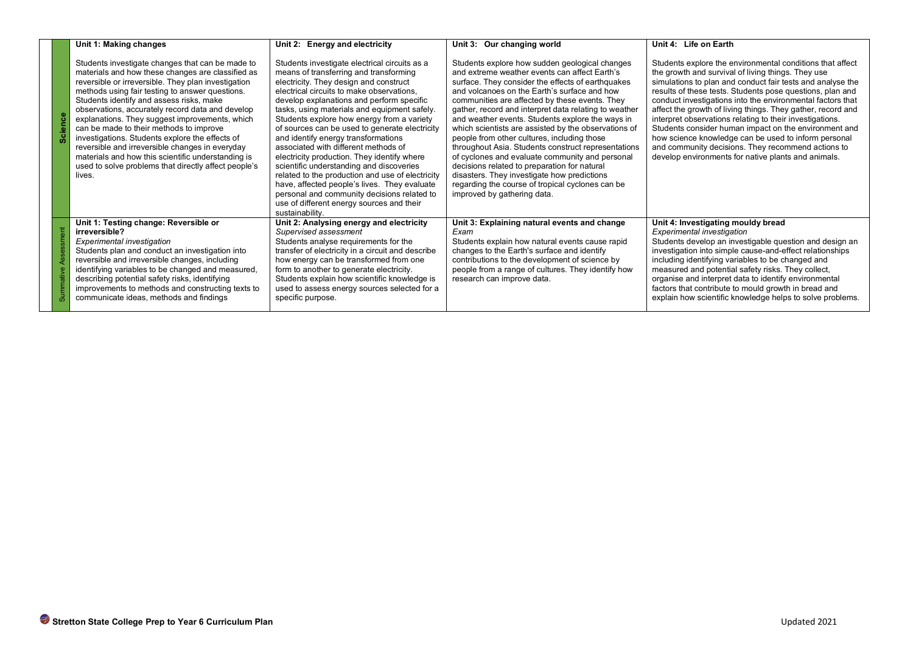|                      | Unit 1: Making changes                                                                                                                                                                                                                                                                                                                                                                                                                                                                                                                                                                                                                     | Unit 2: Energy and electricity                                                                                                                                                                                                                                                                                                                                                                                                                                                                                                                                                                                                                                                                                                                                           | Unit 3: Our changing world                                                                                                                                                                                                                                                                                                                                                                                                                                                                                                                                                                                                                                                                                                                                             | Unit 4: Life on Earth                                                                                                                                                                                                                                                                                                                                                                                                                                                                                                                                                                                                                                             |  |  |
|----------------------|--------------------------------------------------------------------------------------------------------------------------------------------------------------------------------------------------------------------------------------------------------------------------------------------------------------------------------------------------------------------------------------------------------------------------------------------------------------------------------------------------------------------------------------------------------------------------------------------------------------------------------------------|--------------------------------------------------------------------------------------------------------------------------------------------------------------------------------------------------------------------------------------------------------------------------------------------------------------------------------------------------------------------------------------------------------------------------------------------------------------------------------------------------------------------------------------------------------------------------------------------------------------------------------------------------------------------------------------------------------------------------------------------------------------------------|------------------------------------------------------------------------------------------------------------------------------------------------------------------------------------------------------------------------------------------------------------------------------------------------------------------------------------------------------------------------------------------------------------------------------------------------------------------------------------------------------------------------------------------------------------------------------------------------------------------------------------------------------------------------------------------------------------------------------------------------------------------------|-------------------------------------------------------------------------------------------------------------------------------------------------------------------------------------------------------------------------------------------------------------------------------------------------------------------------------------------------------------------------------------------------------------------------------------------------------------------------------------------------------------------------------------------------------------------------------------------------------------------------------------------------------------------|--|--|
| <b>Science</b>       | Students investigate changes that can be made to<br>materials and how these changes are classified as<br>reversible or irreversible. They plan investigation<br>methods using fair testing to answer questions.<br>Students identify and assess risks, make<br>observations, accurately record data and develop<br>explanations. They suggest improvements, which<br>can be made to their methods to improve<br>investigations. Students explore the effects of<br>reversible and irreversible changes in everyday<br>materials and how this scientific understanding is<br>used to solve problems that directly affect people's<br>lives. | Students investigate electrical circuits as a<br>means of transferring and transforming<br>electricity. They design and construct<br>electrical circuits to make observations,<br>develop explanations and perform specific<br>tasks, using materials and equipment safely.<br>Students explore how energy from a variety<br>of sources can be used to generate electricity<br>and identify energy transformations<br>associated with different methods of<br>electricity production. They identify where<br>scientific understanding and discoveries<br>related to the production and use of electricity<br>have, affected people's lives. They evaluate<br>personal and community decisions related to<br>use of different energy sources and their<br>sustainability. | Students explore how sudden geological changes<br>and extreme weather events can affect Earth's<br>surface. They consider the effects of earthquakes<br>and volcanoes on the Earth's surface and how<br>communities are affected by these events. They<br>gather, record and interpret data relating to weather<br>and weather events. Students explore the ways in<br>which scientists are assisted by the observations of<br>people from other cultures, including those<br>throughout Asia. Students construct representations<br>of cyclones and evaluate community and personal<br>decisions related to preparation for natural<br>disasters. They investigate how predictions<br>regarding the course of tropical cyclones can be<br>improved by gathering data. | Students explore the environmental conditions that affect<br>the growth and survival of living things. They use<br>simulations to plan and conduct fair tests and analyse the<br>results of these tests. Students pose questions, plan and<br>conduct investigations into the environmental factors that<br>affect the growth of living things. They gather, record and<br>interpret observations relating to their investigations.<br>Students consider human impact on the environment and<br>how science knowledge can be used to inform personal<br>and community decisions. They recommend actions to<br>develop environments for native plants and animals. |  |  |
| Summative Assessment | Unit 1: Testing change: Reversible or<br>irreversible?<br><b>Experimental investigation</b><br>Students plan and conduct an investigation into<br>reversible and irreversible changes, including<br>identifying variables to be changed and measured,<br>describing potential safety risks, identifying<br>improvements to methods and constructing texts to<br>communicate ideas, methods and findings                                                                                                                                                                                                                                    | Unit 2: Analysing energy and electricity<br>Supervised assessment<br>Students analyse requirements for the<br>transfer of electricity in a circuit and describe<br>how energy can be transformed from one<br>form to another to generate electricity.<br>Students explain how scientific knowledge is<br>used to assess energy sources selected for a<br>specific purpose.                                                                                                                                                                                                                                                                                                                                                                                               | Unit 3: Explaining natural events and change<br>Exam<br>Students explain how natural events cause rapid<br>changes to the Earth's surface and identify<br>contributions to the development of science by<br>people from a range of cultures. They identify how<br>research can improve data.                                                                                                                                                                                                                                                                                                                                                                                                                                                                           | Unit 4: Investigating mouldy bread<br>Experimental investigation<br>Students develop an investigable question and design an<br>investigation into simple cause-and-effect relationships<br>including identifying variables to be changed and<br>measured and potential safety risks. They collect,<br>organise and interpret data to identify environmental<br>factors that contribute to mould growth in bread and<br>explain how scientific knowledge helps to solve problems.                                                                                                                                                                                  |  |  |
|                      |                                                                                                                                                                                                                                                                                                                                                                                                                                                                                                                                                                                                                                            |                                                                                                                                                                                                                                                                                                                                                                                                                                                                                                                                                                                                                                                                                                                                                                          |                                                                                                                                                                                                                                                                                                                                                                                                                                                                                                                                                                                                                                                                                                                                                                        |                                                                                                                                                                                                                                                                                                                                                                                                                                                                                                                                                                                                                                                                   |  |  |
|                      |                                                                                                                                                                                                                                                                                                                                                                                                                                                                                                                                                                                                                                            |                                                                                                                                                                                                                                                                                                                                                                                                                                                                                                                                                                                                                                                                                                                                                                          |                                                                                                                                                                                                                                                                                                                                                                                                                                                                                                                                                                                                                                                                                                                                                                        |                                                                                                                                                                                                                                                                                                                                                                                                                                                                                                                                                                                                                                                                   |  |  |
|                      |                                                                                                                                                                                                                                                                                                                                                                                                                                                                                                                                                                                                                                            |                                                                                                                                                                                                                                                                                                                                                                                                                                                                                                                                                                                                                                                                                                                                                                          |                                                                                                                                                                                                                                                                                                                                                                                                                                                                                                                                                                                                                                                                                                                                                                        |                                                                                                                                                                                                                                                                                                                                                                                                                                                                                                                                                                                                                                                                   |  |  |
|                      | Stretton State College Prep to Year 6 Curriculum Plan<br>Updated 2021                                                                                                                                                                                                                                                                                                                                                                                                                                                                                                                                                                      |                                                                                                                                                                                                                                                                                                                                                                                                                                                                                                                                                                                                                                                                                                                                                                          |                                                                                                                                                                                                                                                                                                                                                                                                                                                                                                                                                                                                                                                                                                                                                                        |                                                                                                                                                                                                                                                                                                                                                                                                                                                                                                                                                                                                                                                                   |  |  |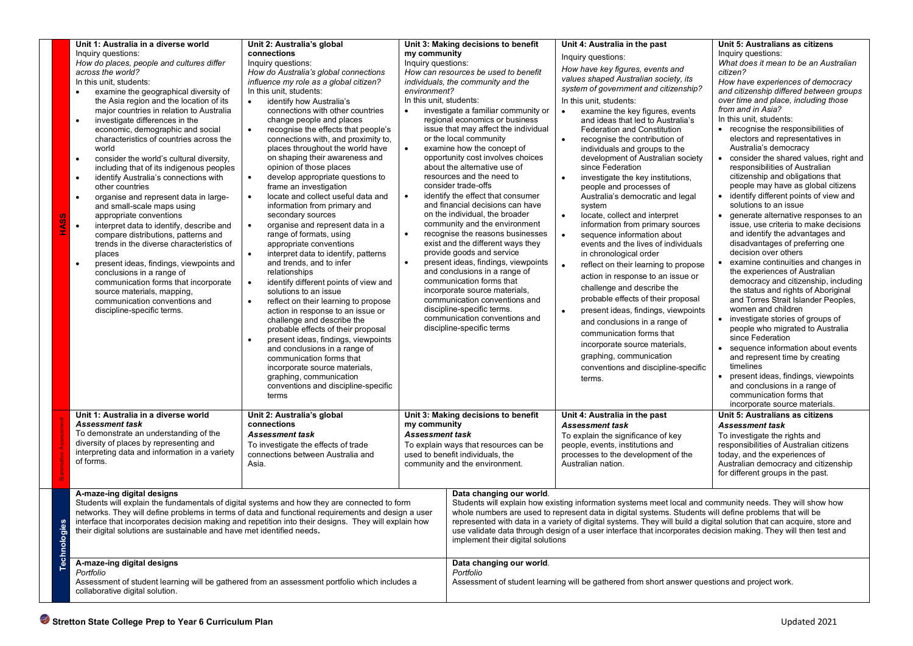| <b>HASS</b> | Unit 1: Australia in a diverse world<br>Inquiry questions:<br>How do places, people and cultures differ<br>across the world?<br>In this unit, students:<br>examine the geographical diversity of<br>$\bullet$<br>the Asia region and the location of its<br>major countries in relation to Australia<br>investigate differences in the<br>$\bullet$<br>economic, demographic and social<br>characteristics of countries across the<br>world<br>consider the world's cultural diversity,<br>$\bullet$<br>including that of its indigenous peoples<br>identify Australia's connections with<br>$\bullet$<br>other countries<br>organise and represent data in large-<br>$\bullet$<br>and small-scale maps using<br>appropriate conventions<br>$\bullet$<br>interpret data to identify, describe and<br>compare distributions, patterns and<br>trends in the diverse characteristics of<br>places<br>present ideas, findings, viewpoints and<br>$\bullet$<br>conclusions in a range of<br>communication forms that incorporate<br>source materials, mapping,<br>communication conventions and<br>discipline-specific terms. | Unit 2: Australia's global<br>connections<br>Inquiry questions:<br>How do Australia's global connections<br>influence my role as a global citizen?<br>In this unit, students:<br>$\bullet$<br>identify how Australia's<br>connections with other countries<br>change people and places<br>recognise the effects that people's<br>$\bullet$<br>connections with, and proximity to,<br>places throughout the world have<br>on shaping their awareness and<br>opinion of those places<br>develop appropriate questions to<br>$\bullet$<br>frame an investigation<br>locate and collect useful data and<br>information from primary and<br>secondary sources<br>organise and represent data in a<br>range of formats, using<br>appropriate conventions<br>interpret data to identify, patterns<br>$\bullet$<br>and trends, and to infer<br>relationships<br>identify different points of view and<br>solutions to an issue<br>reflect on their learning to propose<br>action in response to an issue or<br>challenge and describe the<br>probable effects of their proposal<br>present ideas, findings, viewpoints<br>and conclusions in a range of<br>communication forms that<br>incorporate source materials,<br>graphing, communication<br>conventions and discipline-specific<br>terms | my community<br>Inquiry questions:<br>environment?<br>In this unit, students:<br>$\bullet$<br>$\bullet$<br>$\bullet$<br>$\bullet$<br>$\bullet$ | Unit 3: Making decisions to benefit<br>How can resources be used to benefit<br>individuals, the community and the<br>investigate a familiar community or<br>regional economics or business<br>issue that may affect the individual<br>or the local community<br>examine how the concept of<br>opportunity cost involves choices<br>about the alternative use of<br>resources and the need to<br>consider trade-offs<br>identify the effect that consumer<br>and financial decisions can have<br>on the individual, the broader<br>community and the environment<br>recognise the reasons businesses<br>exist and the different ways they<br>provide goods and service<br>present ideas, findings, viewpoints<br>and conclusions in a range of<br>communication forms that<br>incorporate source materials,<br>communication conventions and<br>discipline-specific terms.<br>communication conventions and<br>discipline-specific terms | Unit 4: Australia in the past<br>Inquiry questions:<br>How have key figures, events and<br>values shaped Australian society, its<br>system of government and citizenship?<br>In this unit, students:<br>examine the key figures, events<br>$\bullet$<br>and ideas that led to Australia's<br><b>Federation and Constitution</b><br>recognise the contribution of<br>$\bullet$<br>individuals and groups to the<br>development of Australian society<br>since Federation<br>investigate the key institutions,<br>$\bullet$<br>people and processes of<br>Australia's democratic and legal<br>system<br>locate, collect and interpret<br>$\bullet$<br>information from primary sources<br>sequence information about<br>$\bullet$<br>events and the lives of individuals<br>in chronological order<br>reflect on their learning to propose<br>$\bullet$<br>action in response to an issue or<br>challenge and describe the<br>probable effects of their proposal<br>present ideas, findings, viewpoints<br>$\bullet$<br>and conclusions in a range of<br>communication forms that<br>incorporate source materials,<br>graphing, communication<br>conventions and discipline-specific<br>terms. | Unit 5: Australians as citizens<br>Inquiry questions:<br>What does it mean to be an Australian<br>citizen?<br>How have experiences of democracy<br>and citizenship differed between groups<br>over time and place, including those<br>from and in Asia?<br>In this unit, students:<br>• recognise the responsibilities of<br>electors and representatives in<br>Australia's democracy<br>consider the shared values, right and<br>$\bullet$<br>responsibilities of Australian<br>citizenship and obligations that<br>people may have as global citizens<br>identify different points of view and<br>$\bullet$<br>solutions to an issue<br>generate alternative responses to an<br>$\bullet$<br>issue, use criteria to make decisions<br>and identify the advantages and<br>disadvantages of preferring one<br>decision over others<br>examine continuities and changes in<br>the experiences of Australian<br>democracy and citizenship, including<br>the status and rights of Aboriginal<br>and Torres Strait Islander Peoples,<br>women and children<br>investigate stories of groups of<br>$\bullet$<br>people who migrated to Australia<br>since Federation<br>• sequence information about events<br>and represent time by creating<br>timelines<br>present ideas, findings, viewpoints<br>and conclusions in a range of<br>communication forms that<br>incorporate source materials. |  |
|-------------|--------------------------------------------------------------------------------------------------------------------------------------------------------------------------------------------------------------------------------------------------------------------------------------------------------------------------------------------------------------------------------------------------------------------------------------------------------------------------------------------------------------------------------------------------------------------------------------------------------------------------------------------------------------------------------------------------------------------------------------------------------------------------------------------------------------------------------------------------------------------------------------------------------------------------------------------------------------------------------------------------------------------------------------------------------------------------------------------------------------------------|-----------------------------------------------------------------------------------------------------------------------------------------------------------------------------------------------------------------------------------------------------------------------------------------------------------------------------------------------------------------------------------------------------------------------------------------------------------------------------------------------------------------------------------------------------------------------------------------------------------------------------------------------------------------------------------------------------------------------------------------------------------------------------------------------------------------------------------------------------------------------------------------------------------------------------------------------------------------------------------------------------------------------------------------------------------------------------------------------------------------------------------------------------------------------------------------------------------------------------------------------------------------------------------------|------------------------------------------------------------------------------------------------------------------------------------------------|-----------------------------------------------------------------------------------------------------------------------------------------------------------------------------------------------------------------------------------------------------------------------------------------------------------------------------------------------------------------------------------------------------------------------------------------------------------------------------------------------------------------------------------------------------------------------------------------------------------------------------------------------------------------------------------------------------------------------------------------------------------------------------------------------------------------------------------------------------------------------------------------------------------------------------------------|----------------------------------------------------------------------------------------------------------------------------------------------------------------------------------------------------------------------------------------------------------------------------------------------------------------------------------------------------------------------------------------------------------------------------------------------------------------------------------------------------------------------------------------------------------------------------------------------------------------------------------------------------------------------------------------------------------------------------------------------------------------------------------------------------------------------------------------------------------------------------------------------------------------------------------------------------------------------------------------------------------------------------------------------------------------------------------------------------------------------------------------------------------------------------------------------|--------------------------------------------------------------------------------------------------------------------------------------------------------------------------------------------------------------------------------------------------------------------------------------------------------------------------------------------------------------------------------------------------------------------------------------------------------------------------------------------------------------------------------------------------------------------------------------------------------------------------------------------------------------------------------------------------------------------------------------------------------------------------------------------------------------------------------------------------------------------------------------------------------------------------------------------------------------------------------------------------------------------------------------------------------------------------------------------------------------------------------------------------------------------------------------------------------------------------------------------------------------------------------------------------------------------------------------------------------------------------------------------|--|
|             | Unit 1: Australia in a diverse world<br><b>Assessment task</b><br>To demonstrate an understanding of the<br>diversity of places by representing and<br>interpreting data and information in a variety<br>of forms.                                                                                                                                                                                                                                                                                                                                                                                                                                                                                                                                                                                                                                                                                                                                                                                                                                                                                                       | Unit 2: Australia's global<br>connections<br><b>Assessment task</b><br>To investigate the effects of trade<br>connections between Australia and<br>Asia.                                                                                                                                                                                                                                                                                                                                                                                                                                                                                                                                                                                                                                                                                                                                                                                                                                                                                                                                                                                                                                                                                                                                | my community<br><b>Assessment task</b>                                                                                                         | Unit 3: Making decisions to benefit<br>To explain ways that resources can be<br>used to benefit individuals, the<br>community and the environment.                                                                                                                                                                                                                                                                                                                                                                                                                                                                                                                                                                                                                                                                                                                                                                                      | Unit 4: Australia in the past<br><b>Assessment task</b><br>To explain the significance of key<br>people, events, institutions and<br>processes to the development of the<br>Australian nation.                                                                                                                                                                                                                                                                                                                                                                                                                                                                                                                                                                                                                                                                                                                                                                                                                                                                                                                                                                                               | Unit 5: Australians as citizens<br><b>Assessment task</b><br>To investigate the rights and<br>responsibilities of Australian citizens<br>today, and the experiences of<br>Australian democracy and citizenship<br>for different groups in the past.                                                                                                                                                                                                                                                                                                                                                                                                                                                                                                                                                                                                                                                                                                                                                                                                                                                                                                                                                                                                                                                                                                                                        |  |
| Technologie | A-maze-ing digital designs<br>Students will explain the fundamentals of digital systems and how they are connected to form<br>networks. They will define problems in terms of data and functional requirements and design a user<br>interface that incorporates decision making and repetition into their designs. They will explain how<br>their digital solutions are sustainable and have met identified needs.<br>A-maze-ing digital designs<br>Portfolio                                                                                                                                                                                                                                                                                                                                                                                                                                                                                                                                                                                                                                                            |                                                                                                                                                                                                                                                                                                                                                                                                                                                                                                                                                                                                                                                                                                                                                                                                                                                                                                                                                                                                                                                                                                                                                                                                                                                                                         |                                                                                                                                                | Data changing our world.<br>implement their digital solutions<br>Data changing our world.<br>Portfolio                                                                                                                                                                                                                                                                                                                                                                                                                                                                                                                                                                                                                                                                                                                                                                                                                                  | Students will explain how existing information systems meet local and community needs. They will show how<br>whole numbers are used to represent data in digital systems. Students will define problems that will be<br>represented with data in a variety of digital systems. They will build a digital solution that can acquire, store and<br>use validate data through design of a user interface that incorporates decision making. They will then test and                                                                                                                                                                                                                                                                                                                                                                                                                                                                                                                                                                                                                                                                                                                             |                                                                                                                                                                                                                                                                                                                                                                                                                                                                                                                                                                                                                                                                                                                                                                                                                                                                                                                                                                                                                                                                                                                                                                                                                                                                                                                                                                                            |  |
|             | Assessment of student learning will be gathered from an assessment portfolio which includes a<br>collaborative digital solution.                                                                                                                                                                                                                                                                                                                                                                                                                                                                                                                                                                                                                                                                                                                                                                                                                                                                                                                                                                                         |                                                                                                                                                                                                                                                                                                                                                                                                                                                                                                                                                                                                                                                                                                                                                                                                                                                                                                                                                                                                                                                                                                                                                                                                                                                                                         |                                                                                                                                                |                                                                                                                                                                                                                                                                                                                                                                                                                                                                                                                                                                                                                                                                                                                                                                                                                                                                                                                                         | Assessment of student learning will be gathered from short answer questions and project work.                                                                                                                                                                                                                                                                                                                                                                                                                                                                                                                                                                                                                                                                                                                                                                                                                                                                                                                                                                                                                                                                                                |                                                                                                                                                                                                                                                                                                                                                                                                                                                                                                                                                                                                                                                                                                                                                                                                                                                                                                                                                                                                                                                                                                                                                                                                                                                                                                                                                                                            |  |
|             | Stretton State College Prep to Year 6 Curriculum Plan<br>Updated 2021                                                                                                                                                                                                                                                                                                                                                                                                                                                                                                                                                                                                                                                                                                                                                                                                                                                                                                                                                                                                                                                    |                                                                                                                                                                                                                                                                                                                                                                                                                                                                                                                                                                                                                                                                                                                                                                                                                                                                                                                                                                                                                                                                                                                                                                                                                                                                                         |                                                                                                                                                |                                                                                                                                                                                                                                                                                                                                                                                                                                                                                                                                                                                                                                                                                                                                                                                                                                                                                                                                         |                                                                                                                                                                                                                                                                                                                                                                                                                                                                                                                                                                                                                                                                                                                                                                                                                                                                                                                                                                                                                                                                                                                                                                                              |                                                                                                                                                                                                                                                                                                                                                                                                                                                                                                                                                                                                                                                                                                                                                                                                                                                                                                                                                                                                                                                                                                                                                                                                                                                                                                                                                                                            |  |